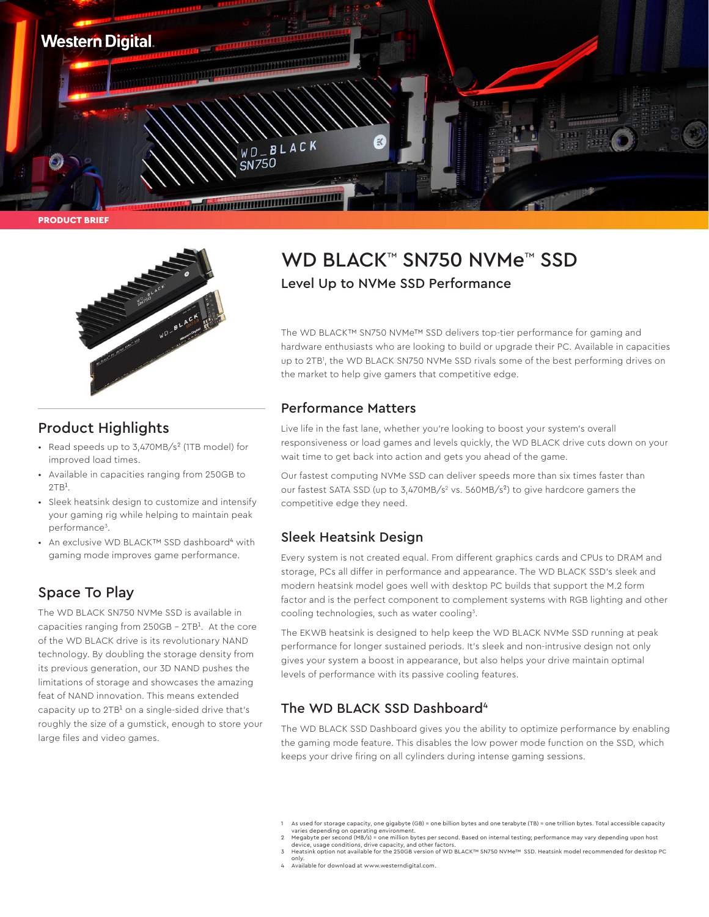

PRODUCT BRIEF



### Product Highlights

- Read speeds up to 3,470MB/s² (1TB model) for improved load times.
- Available in capacities ranging from 250GB to  $2TR<sup>1</sup>$
- Sleek heatsink design to customize and intensify your gaming rig while helping to maintain peak performance<sup>3</sup>.
- An exclusive WD BLACK™ SSD dashboard⁴ with gaming mode improves game performance.

## Space To Play

The WD BLACK SN750 NVMe SSD is available in capacities ranging from  $250GB - 2TB<sup>1</sup>$ . At the core of the WD BLACK drive is its revolutionary NAND technology. By doubling the storage density from its previous generation, our 3D NAND pushes the limitations of storage and showcases the amazing feat of NAND innovation. This means extended capacity up to  $2TB<sup>1</sup>$  on a single-sided drive that's roughly the size of a gumstick, enough to store your large files and video games.

# WD BLACK™ SN750 NVMe™ SSD Level Up to NVMe SSD Performance

The WD BLACK™ SN750 NVMe™ SSD delivers top-tier performance for gaming and hardware enthusiasts who are looking to build or upgrade their PC. Available in capacities up to 2TB1 , the WD BLACK SN750 NVMe SSD rivals some of the best performing drives on the market to help give gamers that competitive edge.

#### Performance Matters

Live life in the fast lane, whether you're looking to boost your system's overall responsiveness or load games and levels quickly, the WD BLACK drive cuts down on your wait time to get back into action and gets you ahead of the game.

Our fastest computing NVMe SSD can deliver speeds more than six times faster than our fastest SATA SSD (up to 3,470MB/s<sup>2</sup> vs. 560MB/s<sup>2</sup>) to give hardcore gamers the competitive edge they need.

### Sleek Heatsink Design

Every system is not created equal. From different graphics cards and CPUs to DRAM and storage, PCs all differ in performance and appearance. The WD BLACK SSD's sleek and modern heatsink model goes well with desktop PC builds that support the M.2 form factor and is the perfect component to complement systems with RGB lighting and other cooling technologies, such as water cooling<sup>3</sup>.

The EKWB heatsink is designed to help keep the WD BLACK NVMe SSD running at peak performance for longer sustained periods. It's sleek and non-intrusive design not only gives your system a boost in appearance, but also helps your drive maintain optimal levels of performance with its passive cooling features.

### The WD BLACK SSD Dashboard<sup>4</sup>

The WD BLACK SSD Dashboard gives you the ability to optimize performance by enabling the gaming mode feature. This disables the low power mode function on the SSD, which keeps your drive firing on all cylinders during intense gaming sessions.

only. 4 Available for download at www.westerndigital.com.

<sup>1</sup> As used for storage capacity, one gigabyte (GB) = one billion bytes and one terabyte (TB) = one trillion bytes. Total accessible capacity

varies depending on operating environment. 2 Megabyte per second (MB/s) = one million bytes per second. Based on internal testing; performance may vary depending upon host device, usage conditions, drive capacity, and other factors.

<sup>3</sup> Heatsink option not available for the 250GB version of WD BLACK™ SN750 NVMe™ SSD. Heatsink model recommended for desktop PC